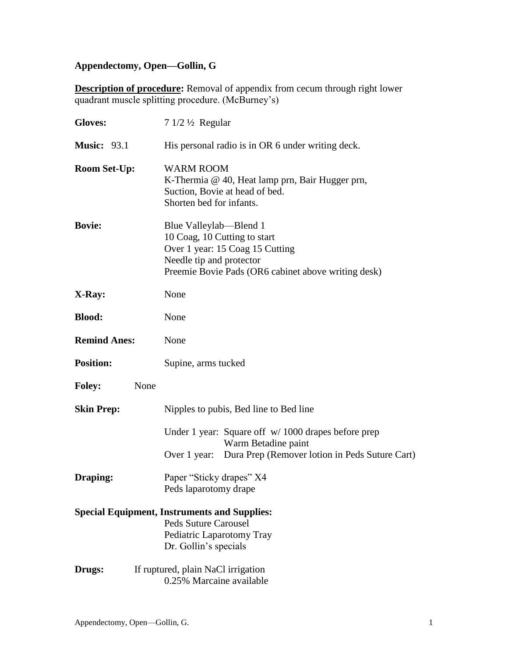# **Appendectomy, Open—Gollin, G**

**Description of procedure:** Removal of appendix from cecum through right lower quadrant muscle splitting procedure. (McBurney's)

| <b>Gloves:</b>      | $71/2\frac{1}{2}$ Regular                                                                                                                                                    |
|---------------------|------------------------------------------------------------------------------------------------------------------------------------------------------------------------------|
| <b>Music: 93.1</b>  | His personal radio is in OR 6 under writing deck.                                                                                                                            |
| <b>Room Set-Up:</b> | <b>WARM ROOM</b><br>K-Thermia @ 40, Heat lamp prn, Bair Hugger prn,<br>Suction, Bovie at head of bed.<br>Shorten bed for infants.                                            |
| <b>Bovie:</b>       | Blue Valleylab—Blend 1<br>10 Coag, 10 Cutting to start<br>Over 1 year: 15 Coag 15 Cutting<br>Needle tip and protector<br>Preemie Bovie Pads (OR6 cabinet above writing desk) |
| X-Ray:              | None                                                                                                                                                                         |
| <b>Blood:</b>       | None                                                                                                                                                                         |
| <b>Remind Anes:</b> | None                                                                                                                                                                         |
| <b>Position:</b>    | Supine, arms tucked                                                                                                                                                          |
| <b>Foley:</b>       | None                                                                                                                                                                         |
| <b>Skin Prep:</b>   | Nipples to pubis, Bed line to Bed line                                                                                                                                       |
|                     | Under 1 year: Square off w/1000 drapes before prep<br>Warm Betadine paint<br>Over 1 year: Dura Prep (Remover lotion in Peds Suture Cart)                                     |
| Draping:            | Paper "Sticky drapes" X4<br>Peds laparotomy drape                                                                                                                            |
|                     | <b>Special Equipment, Instruments and Supplies:</b><br><b>Peds Suture Carousel</b><br>Pediatric Laparotomy Tray<br>Dr. Gollin's specials                                     |
| Drugs:              | If ruptured, plain NaCl irrigation<br>0.25% Marcaine available                                                                                                               |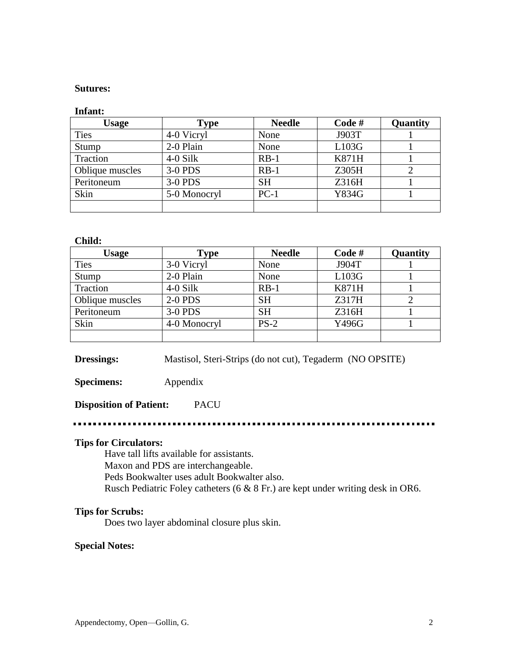#### **Sutures:**

#### **Infant:**

| <b>Usage</b>    | <b>Type</b>  | <b>Needle</b> | Code#        | Quantity |
|-----------------|--------------|---------------|--------------|----------|
| <b>Ties</b>     | 4-0 Vicryl   | None          | J903T        |          |
| Stump           | 2-0 Plain    | None          | L103G        |          |
| Traction        | $4-0$ Silk   | $RB-1$        | <b>K871H</b> |          |
| Oblique muscles | 3-0 PDS      | $RB-1$        | Z305H        |          |
| Peritoneum      | 3-0 PDS      | <b>SH</b>     | Z316H        |          |
| Skin            | 5-0 Monocryl | $PC-1$        | Y834G        |          |
|                 |              |               |              |          |

#### **Child:**

| <b>Usage</b>    | <b>Type</b>    | <b>Needle</b> | Code#        | Quantity |
|-----------------|----------------|---------------|--------------|----------|
| <b>Ties</b>     | 3-0 Vicryl     | None          | J904T        |          |
| Stump           | 2-0 Plain      | None          | L103G        |          |
| Traction        | $4-0$ Silk     | $RB-1$        | <b>K871H</b> |          |
| Oblique muscles | <b>2-0 PDS</b> | <b>SH</b>     | Z317H        |          |
| Peritoneum      | 3-0 PDS        | <b>SH</b>     | Z316H        |          |
| Skin            | 4-0 Monocryl   | $PS-2$        | Y496G        |          |
|                 |                |               |              |          |

**Dressings:** Mastisol, Steri-Strips (do not cut), Tegaderm (NO OPSITE)

**Specimens:** Appendix

### **Disposition of Patient:** PACU

#### ................

### **Tips for Circulators:**

Have tall lifts available for assistants. Maxon and PDS are interchangeable. Peds Bookwalter uses adult Bookwalter also.

Rusch Pediatric Foley catheters (6 & 8 Fr.) are kept under writing desk in OR6.

#### **Tips for Scrubs:**

Does two layer abdominal closure plus skin.

#### **Special Notes:**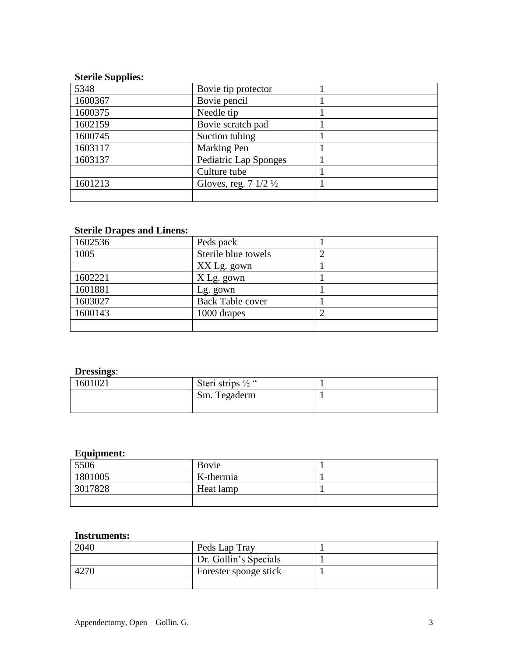## **Sterile Supplies:**

| 5348    | Bovie tip protector                      |  |
|---------|------------------------------------------|--|
| 1600367 | Bovie pencil                             |  |
| 1600375 | Needle tip                               |  |
| 1602159 | Bovie scratch pad                        |  |
| 1600745 | Suction tubing                           |  |
| 1603117 | Marking Pen                              |  |
| 1603137 | Pediatric Lap Sponges                    |  |
|         | Culture tube                             |  |
| 1601213 | Gloves, reg. $7 \frac{1}{2} \frac{1}{2}$ |  |
|         |                                          |  |

### **Sterile Drapes and Linens:**

| 1602536 | Peds pack               |  |
|---------|-------------------------|--|
| 1005    | Sterile blue towels     |  |
|         | XX Lg. gown             |  |
| 1602221 | X Lg. gown              |  |
| 1601881 | Lg. gown                |  |
| 1603027 | <b>Back Table cover</b> |  |
| 1600143 | 1000 drapes             |  |
|         |                         |  |

## **Dressings**:

| 1601021 | Steri strips $\frac{1}{2}$ " |  |
|---------|------------------------------|--|
|         | Sm. Tegaderm                 |  |
|         |                              |  |

## **Equipment:**

| 5506    | Bovie     |  |
|---------|-----------|--|
| 1801005 | K-thermia |  |
| 3017828 | Heat lamp |  |
|         |           |  |

### **Instruments:**

| 2040 | Peds Lap Tray         |  |
|------|-----------------------|--|
|      | Dr. Gollin's Specials |  |
|      | Forester sponge stick |  |
|      |                       |  |